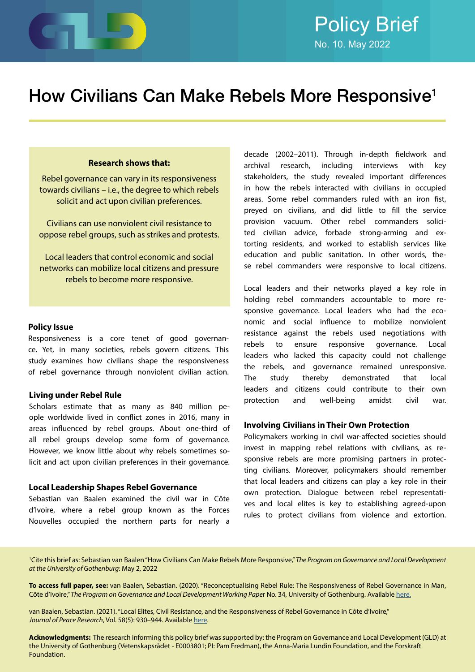

# How Civilians Can Make Rebels More Responsive1

#### **Research shows that:**

Rebel governance can vary in its responsiveness towards civilians – i.e., the degree to which rebels solicit and act upon civilian preferences.

Civilians can use nonviolent civil resistance to oppose rebel groups, such as strikes and protests.

Local leaders that control economic and social networks can mobilize local citizens and pressure rebels to become more responsive.

#### **Policy Issue**

Responsiveness is a core tenet of good governance. Yet, in many societies, rebels govern citizens. This study examines how civilians shape the responsiveness of rebel governance through nonviolent civilian action.

#### **Living under Rebel Rule**

Scholars estimate that as many as 840 million people worldwide lived in conflict zones in 2016, many in areas influenced by rebel groups. About one-third of all rebel groups develop some form of governance. However, we know little about why rebels sometimes solicit and act upon civilian preferences in their governance.

#### **Local Leadership Shapes Rebel Governance**

Sebastian van Baalen examined the civil war in Côte d'Ivoire, where a rebel group known as the Forces Nouvelles occupied the northern parts for nearly a

decade (2002–2011). Through in-depth fieldwork and archival research, including interviews with key stakeholders, the study revealed important differences in how the rebels interacted with civilians in occupied areas. Some rebel commanders ruled with an iron fist, preyed on civilians, and did little to fill the service provision vacuum. Other rebel commanders solicited civilian advice, forbade strong-arming and extorting residents, and worked to establish services like education and public sanitation. In other words, these rebel commanders were responsive to local citizens.

Local leaders and their networks played a key role in holding rebel commanders accountable to more responsive governance. Local leaders who had the economic and social influence to mobilize nonviolent resistance against the rebels used negotiations with rebels to ensure responsive governance. Local leaders who lacked this capacity could not challenge the rebels, and governance remained unresponsive. The study thereby demonstrated that local leaders and citizens could contribute to their own protection and well-being amidst civil war.

#### **Involving Civilians in Their Own Protection**

Policymakers working in civil war-affected societies should invest in mapping rebel relations with civilians, as responsive rebels are more promising partners in protecting civilians. Moreover, policymakers should remember that local leaders and citizens can play a key role in their own protection. Dialogue between rebel representatives and local elites is key to establishing agreed-upon rules to protect civilians from violence and extortion.

<sup>1</sup>Cite this brief as: Sebastian van Baalen "How Civilians Can Make Rebels More Responsive," The Program on Governance and Local Development *at the University of Gothenburg*: May 2, 2022

**To access full paper, see:** van Baalen, Sebastian. (2020). "Reconceptualising Rebel Rule: The Responsiveness of Rebel Governance in Man, Côte d'Ivoire," *The Program on Governance and Local Development Working Pape*r No. 34, University of Gothenburg. Available [here](https://gld.gu.se/media/1926/gld-working-paper-34.pdf).

van Baalen, Sebastian. (2021). "Local Elites, Civil Resistance, and the Responsiveness of Rebel Governance in Côte d'Ivoire," *Journal of Peace Research*, Vol. 58(5): 930–944. Available [here.](https://journals.sagepub.com/doi/10.1177/0022343320965675)

**Acknowledgments:** The research informing this policy brief was supported by: the Program on Governance and Local Development (GLD) at the University of Gothenburg (Vetenskapsrådet - E0003801; PI: Pam Fredman), the Anna-Maria Lundin Foundation, and the Forskraft Foundation.